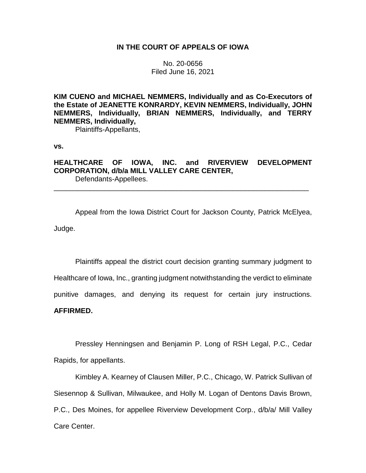## **IN THE COURT OF APPEALS OF IOWA**

No. 20-0656 Filed June 16, 2021

**KIM CUENO and MICHAEL NEMMERS, Individually and as Co-Executors of the Estate of JEANETTE KONRARDY, KEVIN NEMMERS, Individually, JOHN NEMMERS, Individually, BRIAN NEMMERS, Individually, and TERRY NEMMERS, Individually,**

Plaintiffs-Appellants,

**vs.**

# **HEALTHCARE OF IOWA, INC. and RIVERVIEW DEVELOPMENT CORPORATION, d/b/a MILL VALLEY CARE CENTER,**

\_\_\_\_\_\_\_\_\_\_\_\_\_\_\_\_\_\_\_\_\_\_\_\_\_\_\_\_\_\_\_\_\_\_\_\_\_\_\_\_\_\_\_\_\_\_\_\_\_\_\_\_\_\_\_\_\_\_\_\_\_\_\_\_

Defendants-Appellees.

Appeal from the Iowa District Court for Jackson County, Patrick McElyea, Judge.

Plaintiffs appeal the district court decision granting summary judgment to Healthcare of Iowa, Inc., granting judgment notwithstanding the verdict to eliminate punitive damages, and denying its request for certain jury instructions.

**AFFIRMED.**

Pressley Henningsen and Benjamin P. Long of RSH Legal, P.C., Cedar Rapids, for appellants.

Kimbley A. Kearney of Clausen Miller, P.C., Chicago, W. Patrick Sullivan of Siesennop & Sullivan, Milwaukee, and Holly M. Logan of Dentons Davis Brown, P.C., Des Moines, for appellee Riverview Development Corp., d/b/a/ Mill Valley Care Center.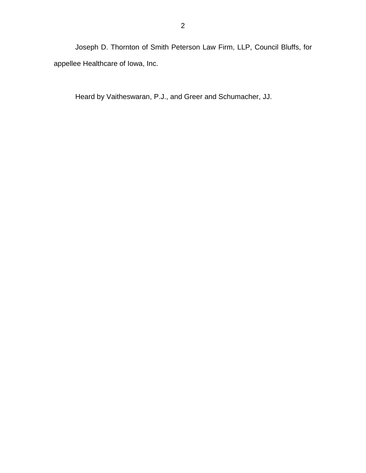Joseph D. Thornton of Smith Peterson Law Firm, LLP, Council Bluffs, for appellee Healthcare of Iowa, Inc.

Heard by Vaitheswaran, P.J., and Greer and Schumacher, JJ.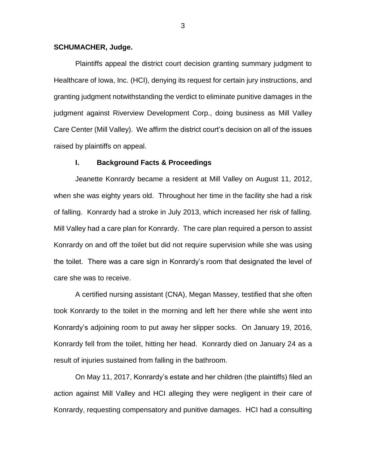### **SCHUMACHER, Judge.**

Plaintiffs appeal the district court decision granting summary judgment to Healthcare of Iowa, Inc. (HCI), denying its request for certain jury instructions, and granting judgment notwithstanding the verdict to eliminate punitive damages in the judgment against Riverview Development Corp., doing business as Mill Valley Care Center (Mill Valley). We affirm the district court's decision on all of the issues raised by plaintiffs on appeal.

### **I. Background Facts & Proceedings**

Jeanette Konrardy became a resident at Mill Valley on August 11, 2012, when she was eighty years old. Throughout her time in the facility she had a risk of falling. Konrardy had a stroke in July 2013, which increased her risk of falling. Mill Valley had a care plan for Konrardy. The care plan required a person to assist Konrardy on and off the toilet but did not require supervision while she was using the toilet. There was a care sign in Konrardy's room that designated the level of care she was to receive.

A certified nursing assistant (CNA), Megan Massey, testified that she often took Konrardy to the toilet in the morning and left her there while she went into Konrardy's adjoining room to put away her slipper socks. On January 19, 2016, Konrardy fell from the toilet, hitting her head. Konrardy died on January 24 as a result of injuries sustained from falling in the bathroom.

On May 11, 2017, Konrardy's estate and her children (the plaintiffs) filed an action against Mill Valley and HCI alleging they were negligent in their care of Konrardy, requesting compensatory and punitive damages. HCI had a consulting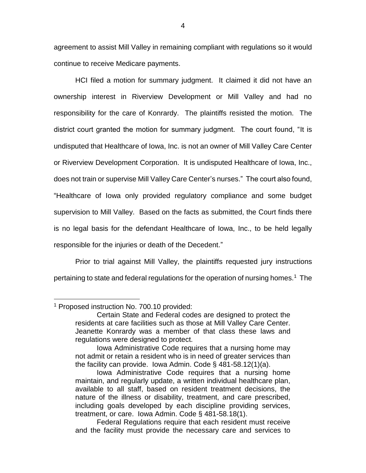agreement to assist Mill Valley in remaining compliant with regulations so it would continue to receive Medicare payments.

HCI filed a motion for summary judgment. It claimed it did not have an ownership interest in Riverview Development or Mill Valley and had no responsibility for the care of Konrardy. The plaintiffs resisted the motion. The district court granted the motion for summary judgment. The court found, "It is undisputed that Healthcare of Iowa, Inc. is not an owner of Mill Valley Care Center or Riverview Development Corporation. It is undisputed Healthcare of Iowa, Inc., does not train or supervise Mill Valley Care Center's nurses." The court also found, "Healthcare of Iowa only provided regulatory compliance and some budget supervision to Mill Valley. Based on the facts as submitted, the Court finds there is no legal basis for the defendant Healthcare of Iowa, Inc., to be held legally responsible for the injuries or death of the Decedent."

Prior to trial against Mill Valley, the plaintiffs requested jury instructions pertaining to state and federal regulations for the operation of nursing homes.<sup>1</sup> The

 $\overline{a}$ 

<sup>1</sup> Proposed instruction No. 700.10 provided:

Certain State and Federal codes are designed to protect the residents at care facilities such as those at Mill Valley Care Center. Jeanette Konrardy was a member of that class these laws and regulations were designed to protect.

Iowa Administrative Code requires that a nursing home may not admit or retain a resident who is in need of greater services than the facility can provide. Iowa Admin. Code § 481-58.12(1)(a).

Iowa Administrative Code requires that a nursing home maintain, and regularly update, a written individual healthcare plan, available to all staff, based on resident treatment decisions, the nature of the illness or disability, treatment, and care prescribed, including goals developed by each discipline providing services, treatment, or care. Iowa Admin. Code § 481-58.18(1).

Federal Regulations require that each resident must receive and the facility must provide the necessary care and services to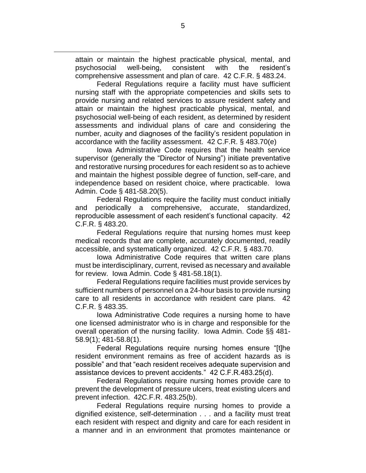attain or maintain the highest practicable physical, mental, and psychosocial well-being, consistent with the resident's comprehensive assessment and plan of care. 42 C.F.R. § 483.24.

 $\overline{a}$ 

Federal Regulations require a facility must have sufficient nursing staff with the appropriate competencies and skills sets to provide nursing and related services to assure resident safety and attain or maintain the highest practicable physical, mental, and psychosocial well-being of each resident, as determined by resident assessments and individual plans of care and considering the number, acuity and diagnoses of the facility's resident population in accordance with the facility assessment. 42 C.F.R. § 483.70(e)

Iowa Administrative Code requires that the health service supervisor (generally the "Director of Nursing") initiate preventative and restorative nursing procedures for each resident so as to achieve and maintain the highest possible degree of function, self-care, and independence based on resident choice, where practicable. Iowa Admin. Code § 481-58.20(5).

Federal Regulations require the facility must conduct initially and periodically a comprehensive, accurate, standardized, reproducible assessment of each resident's functional capacity. 42 C.F.R. § 483.20.

Federal Regulations require that nursing homes must keep medical records that are complete, accurately documented, readily accessible, and systematically organized. 42 C.F.R. § 483.70.

Iowa Administrative Code requires that written care plans must be interdisciplinary, current, revised as necessary and available for review. Iowa Admin. Code § 481-58.18(1).

Federal Regulations require facilities must provide services by sufficient numbers of personnel on a 24-hour basis to provide nursing care to all residents in accordance with resident care plans. 42 C.F.R. § 483.35.

Iowa Administrative Code requires a nursing home to have one licensed administrator who is in charge and responsible for the overall operation of the nursing facility. Iowa Admin. Code §§ 481- 58.9(1); 481-58.8(1).

Federal Regulations require nursing homes ensure "[t]he resident environment remains as free of accident hazards as is possible" and that "each resident receives adequate supervision and assistance devices to prevent accidents." 42 C.F.R.483.25(d).

Federal Regulations require nursing homes provide care to prevent the development of pressure ulcers, treat existing ulcers and prevent infection. 42C.F.R. 483.25(b).

Federal Regulations require nursing homes to provide a dignified existence, self-determination . . . and a facility must treat each resident with respect and dignity and care for each resident in a manner and in an environment that promotes maintenance or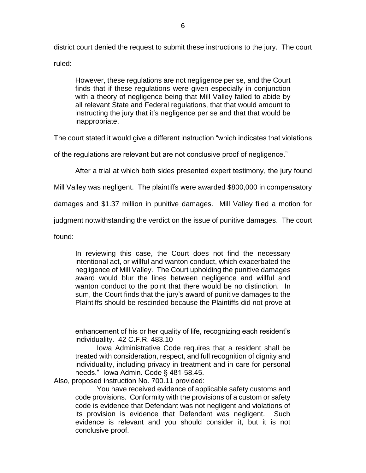district court denied the request to submit these instructions to the jury. The court ruled:

However, these regulations are not negligence per se, and the Court finds that if these regulations were given especially in conjunction with a theory of negligence being that Mill Valley failed to abide by all relevant State and Federal regulations, that that would amount to instructing the jury that it's negligence per se and that that would be inappropriate.

The court stated it would give a different instruction "which indicates that violations

of the regulations are relevant but are not conclusive proof of negligence."

After a trial at which both sides presented expert testimony, the jury found

Mill Valley was negligent. The plaintiffs were awarded \$800,000 in compensatory

damages and \$1.37 million in punitive damages. Mill Valley filed a motion for

judgment notwithstanding the verdict on the issue of punitive damages. The court

found:

 $\overline{a}$ 

In reviewing this case, the Court does not find the necessary intentional act, or willful and wanton conduct, which exacerbated the negligence of Mill Valley. The Court upholding the punitive damages award would blur the lines between negligence and willful and wanton conduct to the point that there would be no distinction. In sum, the Court finds that the jury's award of punitive damages to the Plaintiffs should be rescinded because the Plaintiffs did not prove at

Also, proposed instruction No. 700.11 provided:

enhancement of his or her quality of life, recognizing each resident's individuality. 42 C.F.R. 483.10

Iowa Administrative Code requires that a resident shall be treated with consideration, respect, and full recognition of dignity and individuality, including privacy in treatment and in care for personal needs." Iowa Admin. Code § 481-58.45.

You have received evidence of applicable safety customs and code provisions. Conformity with the provisions of a custom or safety code is evidence that Defendant was not negligent and violations of its provision is evidence that Defendant was negligent. Such evidence is relevant and you should consider it, but it is not conclusive proof.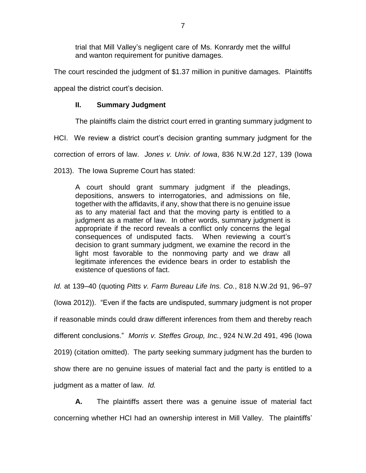trial that Mill Valley's negligent care of Ms. Konrardy met the willful and wanton requirement for punitive damages.

The court rescinded the judgment of \$1.37 million in punitive damages. Plaintiffs appeal the district court's decision.

## **II. Summary Judgment**

The plaintiffs claim the district court erred in granting summary judgment to

HCI. We review a district court's decision granting summary judgment for the

correction of errors of law. *Jones v. Univ. of Iowa*, 836 N.W.2d 127, 139 (Iowa

2013). The Iowa Supreme Court has stated:

A court should grant summary judgment if the pleadings, depositions, answers to interrogatories, and admissions on file, together with the affidavits, if any, show that there is no genuine issue as to any material fact and that the moving party is entitled to a judgment as a matter of law. In other words, summary judgment is appropriate if the record reveals a conflict only concerns the legal consequences of undisputed facts. When reviewing a court's decision to grant summary judgment, we examine the record in the light most favorable to the nonmoving party and we draw all legitimate inferences the evidence bears in order to establish the existence of questions of fact.

*Id.* at 139–40 (quoting *Pitts v. Farm Bureau Life Ins. Co.*, 818 N.W.2d 91, 96–97

(Iowa 2012)). "Even if the facts are undisputed, summary judgment is not proper if reasonable minds could draw different inferences from them and thereby reach different conclusions." *Morris v. Steffes Group, Inc.*, 924 N.W.2d 491, 496 (Iowa 2019) (citation omitted). The party seeking summary judgment has the burden to show there are no genuine issues of material fact and the party is entitled to a judgment as a matter of law. *Id.*

**A.** The plaintiffs assert there was a genuine issue of material fact concerning whether HCI had an ownership interest in Mill Valley. The plaintiffs'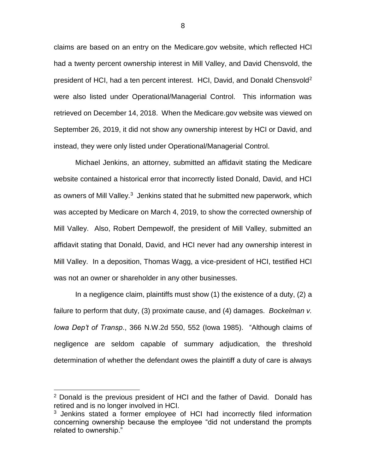claims are based on an entry on the Medicare.gov website, which reflected HCI had a twenty percent ownership interest in Mill Valley, and David Chensvold, the president of HCI, had a ten percent interest. HCI, David, and Donald Chensvold<sup>2</sup> were also listed under Operational/Managerial Control. This information was retrieved on December 14, 2018. When the Medicare.gov website was viewed on September 26, 2019, it did not show any ownership interest by HCI or David, and instead, they were only listed under Operational/Managerial Control.

Michael Jenkins, an attorney, submitted an affidavit stating the Medicare website contained a historical error that incorrectly listed Donald, David, and HCI as owners of Mill Valley.<sup>3</sup> Jenkins stated that he submitted new paperwork, which was accepted by Medicare on March 4, 2019, to show the corrected ownership of Mill Valley. Also, Robert Dempewolf, the president of Mill Valley, submitted an affidavit stating that Donald, David, and HCI never had any ownership interest in Mill Valley. In a deposition, Thomas Wagg, a vice-president of HCI, testified HCI was not an owner or shareholder in any other businesses.

In a negligence claim, plaintiffs must show (1) the existence of a duty, (2) a failure to perform that duty, (3) proximate cause, and (4) damages. *Bockelman v. Iowa Dep't of Transp*., 366 N.W.2d 550, 552 (Iowa 1985). "Although claims of negligence are seldom capable of summary adjudication, the threshold determination of whether the defendant owes the plaintiff a duty of care is always

 $\overline{a}$ 

<sup>2</sup> Donald is the previous president of HCI and the father of David. Donald has retired and is no longer involved in HCI.

<sup>&</sup>lt;sup>3</sup> Jenkins stated a former employee of HCI had incorrectly filed information concerning ownership because the employee "did not understand the prompts related to ownership."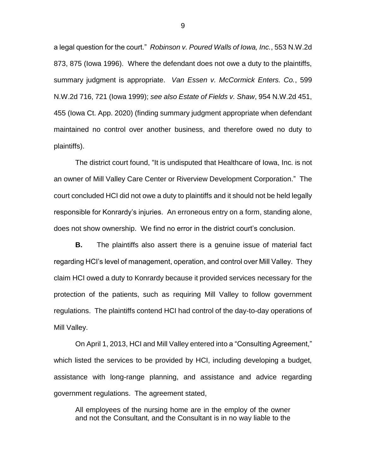a legal question for the court." *Robinson v. Poured Walls of Iowa, Inc.*, 553 N.W.2d 873, 875 (Iowa 1996). Where the defendant does not owe a duty to the plaintiffs, summary judgment is appropriate. *Van Essen v. McCormick Enters. Co.*, 599 N.W.2d 716, 721 (Iowa 1999); *see also Estate of Fields v. Shaw*, 954 N.W.2d 451, 455 (Iowa Ct. App. 2020) (finding summary judgment appropriate when defendant maintained no control over another business, and therefore owed no duty to plaintiffs).

The district court found, "It is undisputed that Healthcare of Iowa, Inc. is not an owner of Mill Valley Care Center or Riverview Development Corporation." The court concluded HCI did not owe a duty to plaintiffs and it should not be held legally responsible for Konrardy's injuries. An erroneous entry on a form, standing alone, does not show ownership. We find no error in the district court's conclusion.

**B.** The plaintiffs also assert there is a genuine issue of material fact regarding HCI's level of management, operation, and control over Mill Valley. They claim HCI owed a duty to Konrardy because it provided services necessary for the protection of the patients, such as requiring Mill Valley to follow government regulations. The plaintiffs contend HCI had control of the day-to-day operations of Mill Valley.

On April 1, 2013, HCI and Mill Valley entered into a "Consulting Agreement," which listed the services to be provided by HCI, including developing a budget, assistance with long-range planning, and assistance and advice regarding government regulations. The agreement stated,

All employees of the nursing home are in the employ of the owner and not the Consultant, and the Consultant is in no way liable to the

9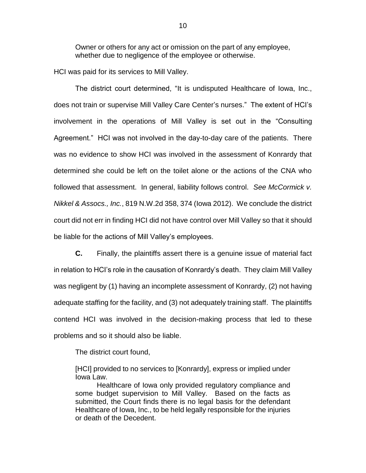Owner or others for any act or omission on the part of any employee, whether due to negligence of the employee or otherwise.

HCI was paid for its services to Mill Valley.

The district court determined, "It is undisputed Healthcare of Iowa, Inc., does not train or supervise Mill Valley Care Center's nurses." The extent of HCI's involvement in the operations of Mill Valley is set out in the "Consulting Agreement." HCI was not involved in the day-to-day care of the patients. There was no evidence to show HCI was involved in the assessment of Konrardy that determined she could be left on the toilet alone or the actions of the CNA who followed that assessment. In general, liability follows control. *See McCormick v. Nikkel & Assocs., Inc.*, 819 N.W.2d 358, 374 (Iowa 2012). We conclude the district court did not err in finding HCI did not have control over Mill Valley so that it should be liable for the actions of Mill Valley's employees.

**C.** Finally, the plaintiffs assert there is a genuine issue of material fact in relation to HCI's role in the causation of Konrardy's death. They claim Mill Valley was negligent by (1) having an incomplete assessment of Konrardy, (2) not having adequate staffing for the facility, and (3) not adequately training staff. The plaintiffs contend HCI was involved in the decision-making process that led to these problems and so it should also be liable.

The district court found,

[HCI] provided to no services to [Konrardy], express or implied under Iowa Law.

Healthcare of Iowa only provided regulatory compliance and some budget supervision to Mill Valley. Based on the facts as submitted, the Court finds there is no legal basis for the defendant Healthcare of Iowa, Inc., to be held legally responsible for the injuries or death of the Decedent.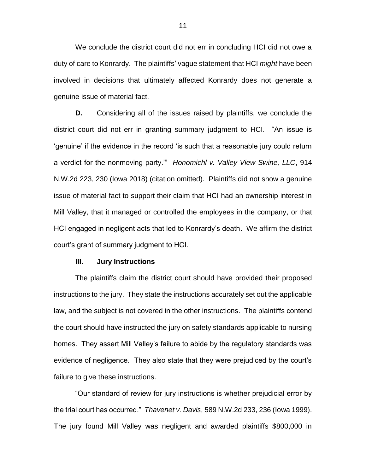We conclude the district court did not err in concluding HCI did not owe a duty of care to Konrardy. The plaintiffs' vague statement that HCI *might* have been involved in decisions that ultimately affected Konrardy does not generate a genuine issue of material fact.

**D.** Considering all of the issues raised by plaintiffs, we conclude the district court did not err in granting summary judgment to HCI. "An issue is 'genuine' if the evidence in the record 'is such that a reasonable jury could return a verdict for the nonmoving party.'" *Honomichl v. Valley View Swine, LLC*, 914 N.W.2d 223, 230 (Iowa 2018) (citation omitted). Plaintiffs did not show a genuine issue of material fact to support their claim that HCI had an ownership interest in Mill Valley, that it managed or controlled the employees in the company, or that HCI engaged in negligent acts that led to Konrardy's death. We affirm the district court's grant of summary judgment to HCI.

#### **III. Jury Instructions**

The plaintiffs claim the district court should have provided their proposed instructions to the jury. They state the instructions accurately set out the applicable law, and the subject is not covered in the other instructions. The plaintiffs contend the court should have instructed the jury on safety standards applicable to nursing homes. They assert Mill Valley's failure to abide by the regulatory standards was evidence of negligence. They also state that they were prejudiced by the court's failure to give these instructions.

"Our standard of review for jury instructions is whether prejudicial error by the trial court has occurred." *Thavenet v. Davis*, 589 N.W.2d 233, 236 (Iowa 1999). The jury found Mill Valley was negligent and awarded plaintiffs \$800,000 in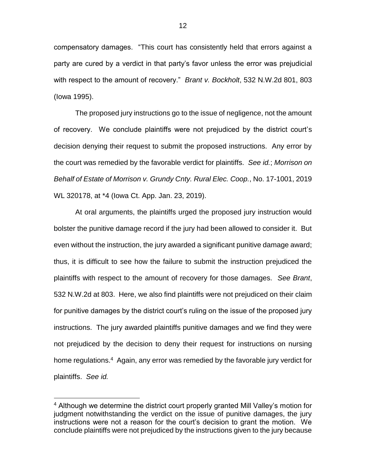compensatory damages. "This court has consistently held that errors against a party are cured by a verdict in that party's favor unless the error was prejudicial with respect to the amount of recovery." *Brant v. Bockholt*, 532 N.W.2d 801, 803 (Iowa 1995).

The proposed jury instructions go to the issue of negligence, not the amount of recovery. We conclude plaintiffs were not prejudiced by the district court's decision denying their request to submit the proposed instructions. Any error by the court was remedied by the favorable verdict for plaintiffs. *See id.*; *Morrison on Behalf of Estate of Morrison v. Grundy Cnty. Rural Elec. Coop.*, No. 17-1001, 2019 WL 320178, at \*4 (Iowa Ct. App. Jan. 23, 2019).

At oral arguments, the plaintiffs urged the proposed jury instruction would bolster the punitive damage record if the jury had been allowed to consider it. But even without the instruction, the jury awarded a significant punitive damage award; thus, it is difficult to see how the failure to submit the instruction prejudiced the plaintiffs with respect to the amount of recovery for those damages. *See Brant*, 532 N.W.2d at 803. Here, we also find plaintiffs were not prejudiced on their claim for punitive damages by the district court's ruling on the issue of the proposed jury instructions. The jury awarded plaintiffs punitive damages and we find they were not prejudiced by the decision to deny their request for instructions on nursing home regulations.<sup>4</sup> Again, any error was remedied by the favorable jury verdict for plaintiffs. *See id.*

 $\overline{a}$ 

<sup>&</sup>lt;sup>4</sup> Although we determine the district court properly granted Mill Valley's motion for judgment notwithstanding the verdict on the issue of punitive damages, the jury instructions were not a reason for the court's decision to grant the motion. We conclude plaintiffs were not prejudiced by the instructions given to the jury because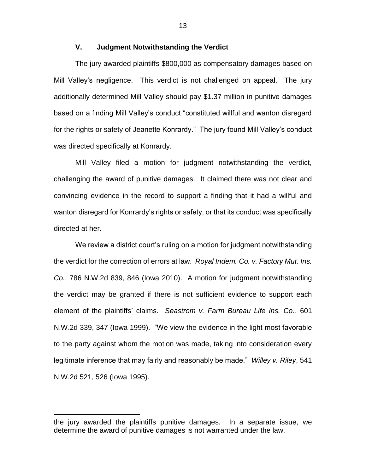## **V. Judgment Notwithstanding the Verdict**

The jury awarded plaintiffs \$800,000 as compensatory damages based on Mill Valley's negligence. This verdict is not challenged on appeal. The jury additionally determined Mill Valley should pay \$1.37 million in punitive damages based on a finding Mill Valley's conduct "constituted willful and wanton disregard for the rights or safety of Jeanette Konrardy." The jury found Mill Valley's conduct was directed specifically at Konrardy.

Mill Valley filed a motion for judgment notwithstanding the verdict, challenging the award of punitive damages. It claimed there was not clear and convincing evidence in the record to support a finding that it had a willful and wanton disregard for Konrardy's rights or safety, or that its conduct was specifically directed at her.

We review a district court's ruling on a motion for judgment notwithstanding the verdict for the correction of errors at law. *Royal Indem. Co. v. Factory Mut. Ins. Co.*, 786 N.W.2d 839, 846 (Iowa 2010). A motion for judgment notwithstanding the verdict may be granted if there is not sufficient evidence to support each element of the plaintiffs' claims. *Seastrom v. Farm Bureau Life Ins. Co.*, 601 N.W.2d 339, 347 (Iowa 1999). "We view the evidence in the light most favorable to the party against whom the motion was made, taking into consideration every legitimate inference that may fairly and reasonably be made." *Willey v. Riley*, 541 N.W.2d 521, 526 (Iowa 1995).

 $\overline{a}$ 

13

the jury awarded the plaintiffs punitive damages. In a separate issue, we determine the award of punitive damages is not warranted under the law.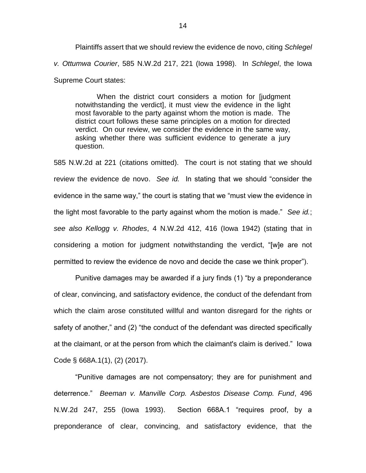Plaintiffs assert that we should review the evidence de novo, citing *Schlegel v. Ottumwa Courier*, 585 N.W.2d 217, 221 (Iowa 1998). In *Schlegel*, the Iowa Supreme Court states:

When the district court considers a motion for [judgment notwithstanding the verdict], it must view the evidence in the light most favorable to the party against whom the motion is made. The district court follows these same principles on a motion for directed verdict. On our review, we consider the evidence in the same way, asking whether there was sufficient evidence to generate a jury question.

585 N.W.2d at 221 (citations omitted). The court is not stating that we should review the evidence de novo. *See id.* In stating that we should "consider the evidence in the same way," the court is stating that we "must view the evidence in the light most favorable to the party against whom the motion is made." *See id.*; *see also Kellogg v. Rhodes*, 4 N.W.2d 412, 416 (Iowa 1942) (stating that in considering a motion for judgment notwithstanding the verdict, "[w]e are not permitted to review the evidence de novo and decide the case we think proper").

Punitive damages may be awarded if a jury finds (1) "by a preponderance of clear, convincing, and satisfactory evidence, the conduct of the defendant from which the claim arose constituted willful and wanton disregard for the rights or safety of another," and (2) "the conduct of the defendant was directed specifically at the claimant, or at the person from which the claimant's claim is derived." Iowa Code § 668A.1(1), (2) (2017).

"Punitive damages are not compensatory; they are for punishment and deterrence." *Beeman v. Manville Corp. Asbestos Disease Comp. Fund*, 496 N.W.2d 247, 255 (Iowa 1993). Section 668A.1 "requires proof, by a preponderance of clear, convincing, and satisfactory evidence, that the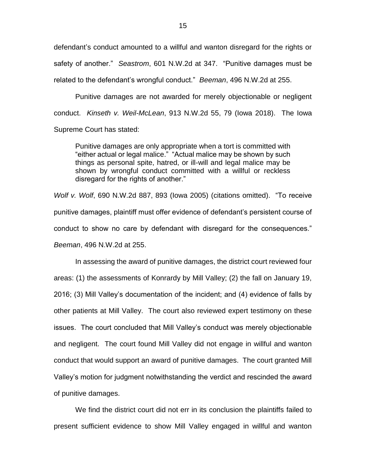defendant's conduct amounted to a willful and wanton disregard for the rights or safety of another." *Seastrom*, 601 N.W.2d at 347. "Punitive damages must be related to the defendant's wrongful conduct." *Beeman*, 496 N.W.2d at 255.

Punitive damages are not awarded for merely objectionable or negligent conduct. *Kinseth v. Weil-McLean*, 913 N.W.2d 55, 79 (Iowa 2018). The Iowa Supreme Court has stated:

Punitive damages are only appropriate when a tort is committed with "either actual or legal malice." "Actual malice may be shown by such things as personal spite, hatred, or ill-will and legal malice may be shown by wrongful conduct committed with a willful or reckless disregard for the rights of another."

*Wolf v. Wolf*, 690 N.W.2d 887, 893 (Iowa 2005) (citations omitted). "To receive punitive damages, plaintiff must offer evidence of defendant's persistent course of conduct to show no care by defendant with disregard for the consequences." *Beeman*, 496 N.W.2d at 255.

In assessing the award of punitive damages, the district court reviewed four areas: (1) the assessments of Konrardy by Mill Valley; (2) the fall on January 19, 2016; (3) Mill Valley's documentation of the incident; and (4) evidence of falls by other patients at Mill Valley. The court also reviewed expert testimony on these issues. The court concluded that Mill Valley's conduct was merely objectionable and negligent. The court found Mill Valley did not engage in willful and wanton conduct that would support an award of punitive damages. The court granted Mill Valley's motion for judgment notwithstanding the verdict and rescinded the award of punitive damages.

We find the district court did not err in its conclusion the plaintiffs failed to present sufficient evidence to show Mill Valley engaged in willful and wanton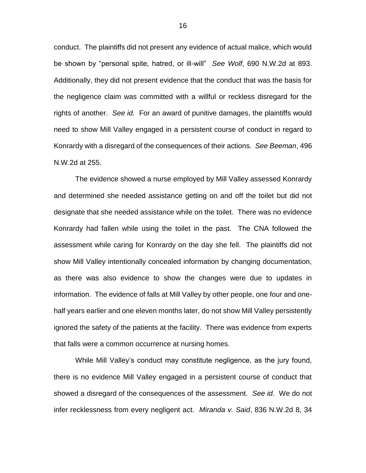conduct. The plaintiffs did not present any evidence of actual malice, which would be shown by "personal spite, hatred, or ill-will" *See Wolf*, 690 N.W.2d at 893. Additionally, they did not present evidence that the conduct that was the basis for the negligence claim was committed with a willful or reckless disregard for the rights of another. *See id.* For an award of punitive damages, the plaintiffs would need to show Mill Valley engaged in a persistent course of conduct in regard to Konrardy with a disregard of the consequences of their actions. *See Beeman*, 496 N.W.2d at 255.

The evidence showed a nurse employed by Mill Valley assessed Konrardy and determined she needed assistance getting on and off the toilet but did not designate that she needed assistance while on the toilet. There was no evidence Konrardy had fallen while using the toilet in the past. The CNA followed the assessment while caring for Konrardy on the day she fell. The plaintiffs did not show Mill Valley intentionally concealed information by changing documentation, as there was also evidence to show the changes were due to updates in information. The evidence of falls at Mill Valley by other people, one four and onehalf years earlier and one eleven months later, do not show Mill Valley persistently ignored the safety of the patients at the facility. There was evidence from experts that falls were a common occurrence at nursing homes.

While Mill Valley's conduct may constitute negligence, as the jury found, there is no evidence Mill Valley engaged in a persistent course of conduct that showed a disregard of the consequences of the assessment. *See id.* We do not infer recklessness from every negligent act. *Miranda v. Said*, 836 N.W.2d 8, 34